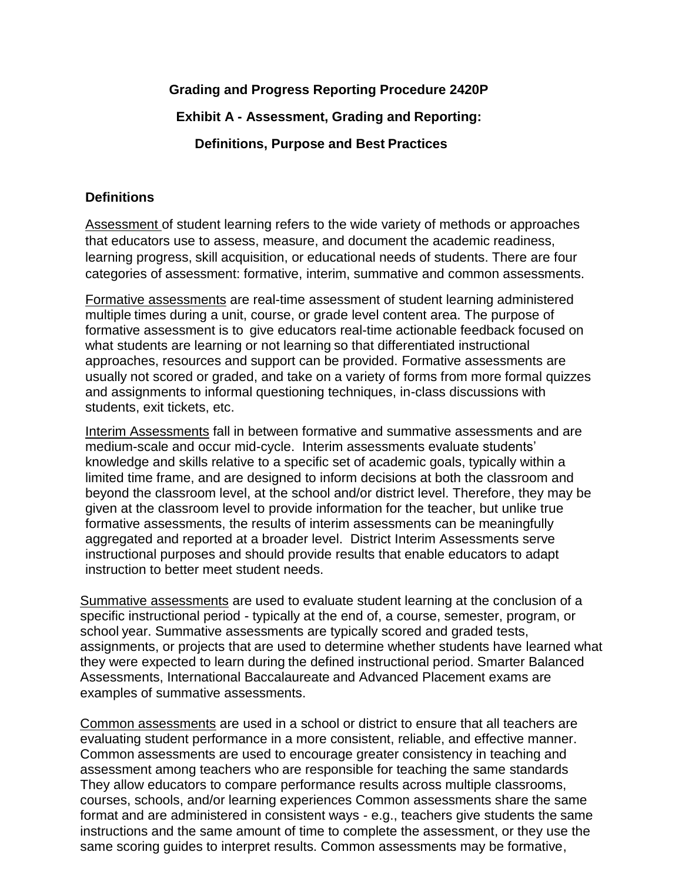# **Grading and Progress Reporting Procedure 2420P**

### **Exhibit A - Assessment, Grading and Reporting:**

### **Definitions, Purpose and Best Practices**

#### **Definitions**

Assessment of student learning refers to the wide variety of methods or approaches that educators use to assess, measure, and document the academic readiness, learning progress, skill acquisition, or educational needs of students. There are four categories of assessment: formative, interim, summative and common assessments.

[Formative assessments](http://edglossary.org/formative-assessment/) are real-time assessment of student learning administered multiple times during a unit, course, or grade level content area. The purpose of formative assessment is to give educators real-time actionable feedback focused on what students are learning or not learning so that differentiated instructional approaches, resources and support can be provided. Formative assessments are usually not scored or graded, and take on a variety of forms from more formal quizzes and assignments to informal questioning techniques, in-class discussions with students, exit tickets, etc.

Interim Assessments fall in between formative and summative assessments and are medium-scale and occur mid-cycle. Interim assessments evaluate students' knowledge and skills relative to a specific set of academic goals, typically within a limited time frame, and are designed to inform decisions at both the classroom and beyond the classroom level, at the school and/or district level. Therefore, they may be given at the classroom level to provide information for the teacher, but unlike true formative assessments, the results of interim assessments can be meaningfully aggregated and reported at a broader level. District Interim Assessments serve instructional purposes and should provide results that enable educators to adapt instruction to better meet student needs.

[Summative assessments](http://edglossary.org/summative-assessment/) are used to evaluate student learning at the conclusion of a specific instructional period - typically at the end of, a course, semester, program, or school year. Summative assessments are typically scored and graded tests, assignments, or projects that are used to determine whether students have learned what they were expected to learn during the defined instructional period. Smarter Balanced Assessments, International Baccalaureate and Advanced Placement exams are examples of summative assessments.

Common assessments are used in a school or district to ensure that all teachers are evaluating student performance in a more consistent, reliable, and effective manner. Common assessments are used to encourage greater consistency in teaching and assessment among teachers who are responsible for teaching the same standards They allow educators to compare performance results across multiple classrooms, courses, schools, and/or learning experiences Common assessments share the same format and are administered in consistent ways - e.g., teachers give students the same instructions and the same amount of time to complete the assessment, or they use the same scoring guides to interpret results. Common assessments may be formative,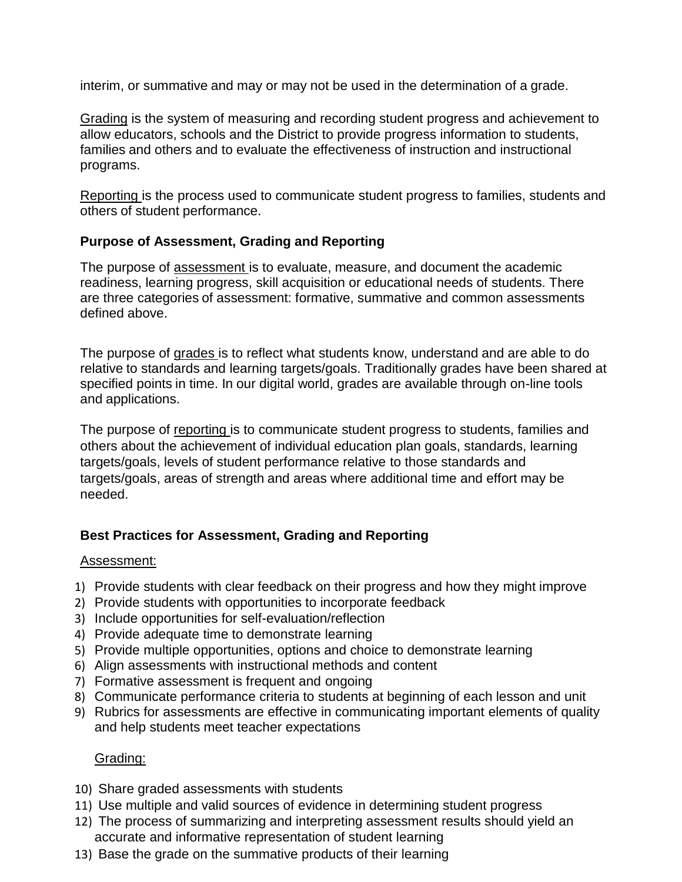interim, or summative and may or may not be used in the determination of a grade.

Grading is the system of measuring and recording student progress and achievement to allow educators, schools and the District to provide progress information to students, families and others and to evaluate the effectiveness of instruction and instructional programs.

Reporting is the process used to communicate student progress to families, students and others of student performance.

### **Purpose of Assessment, Grading and Reporting**

The purpose of assessment is to evaluate, measure, and document the academic readiness, learning progress, skill acquisition or educational needs of students. There are three categories of assessment: formative, summative and common assessments defined above.

The purpose of grades is to reflect what students know, understand and are able to do relative to standards and learning targets/goals. Traditionally grades have been shared at specified points in time. In our digital world, grades are available through on-line tools and applications.

The purpose of reporting is to communicate student progress to students, families and others about the achievement of individual education plan goals, standards, learning targets/goals, levels of student performance relative to those standards and targets/goals, areas of strength and areas where additional time and effort may be needed.

# **Best Practices for Assessment, Grading and Reporting**

#### Assessment:

- 1) Provide students with clear feedback on their progress and how they might improve
- 2) Provide students with opportunities to incorporate feedback
- 3) Include opportunities for self-evaluation/reflection
- 4) Provide adequate time to demonstrate learning
- 5) Provide multiple opportunities, options and choice to demonstrate learning
- 6) Align assessments with instructional methods and content
- 7) Formative assessment is frequent and ongoing
- 8) Communicate performance criteria to students at beginning of each lesson and unit
- 9) Rubrics for assessments are effective in communicating important elements of quality and help students meet teacher expectations

# Grading:

- 10) Share graded assessments with students
- 11) Use multiple and valid sources of evidence in determining student progress
- 12) The process of summarizing and interpreting assessment results should yield an accurate and informative representation of student learning
- 13) Base the grade on the summative products of their learning